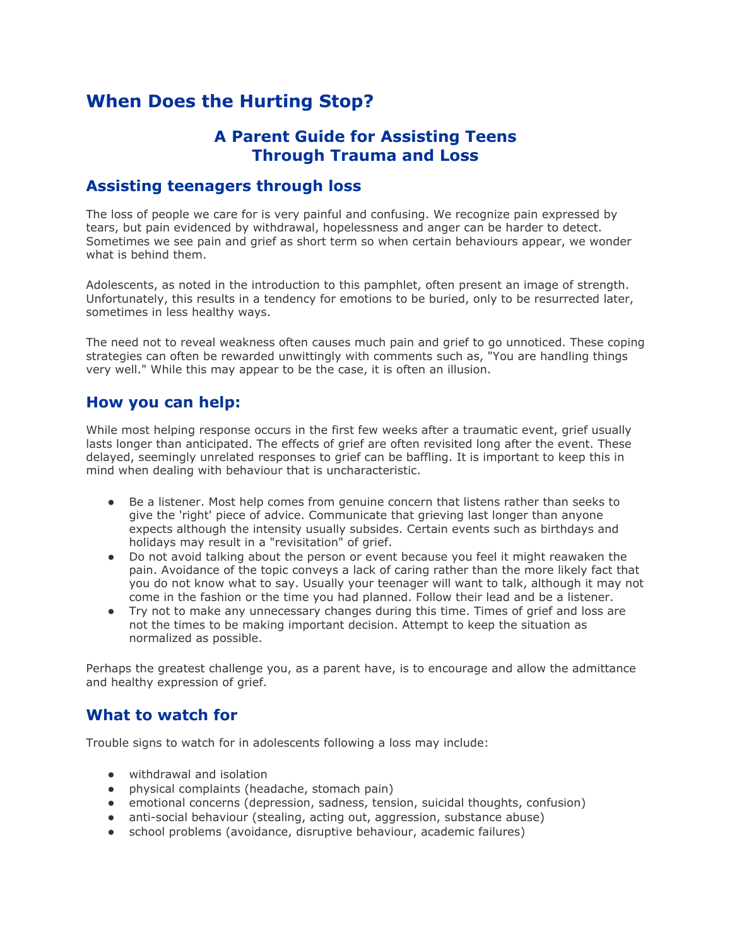## **When Does the Hurting Stop?**

## **A Parent Guide for Assisting Teens Through Trauma and Loss**

#### **Assisting teenagers through loss**

The loss of people we care for is very painful and confusing. We recognize pain expressed by tears, but pain evidenced by withdrawal, hopelessness and anger can be harder to detect. Sometimes we see pain and grief as short term so when certain behaviours appear, we wonder what is behind them.

Adolescents, as noted in the introduction to this pamphlet, often present an image of strength. Unfortunately, this results in a tendency for emotions to be buried, only to be resurrected later, sometimes in less healthy ways.

The need not to reveal weakness often causes much pain and grief to go unnoticed. These coping strategies can often be rewarded unwittingly with comments such as, "You are handling things very well." While this may appear to be the case, it is often an illusion.

#### **How you can help:**

While most helping response occurs in the first few weeks after a traumatic event, grief usually lasts longer than anticipated. The effects of grief are often revisited long after the event. These delayed, seemingly unrelated responses to grief can be baffling. It is important to keep this in mind when dealing with behaviour that is uncharacteristic.

- Be a listener. Most help comes from genuine concern that listens rather than seeks to give the 'right' piece of advice. Communicate that grieving last longer than anyone expects although the intensity usually subsides. Certain events such as birthdays and holidays may result in a "revisitation" of grief.
- Do not avoid talking about the person or event because you feel it might reawaken the pain. Avoidance of the topic conveys a lack of caring rather than the more likely fact that you do not know what to say. Usually your teenager will want to talk, although it may not come in the fashion or the time you had planned. Follow their lead and be a listener.
- Try not to make any unnecessary changes during this time. Times of grief and loss are not the times to be making important decision. Attempt to keep the situation as normalized as possible.

Perhaps the greatest challenge you, as a parent have, is to encourage and allow the admittance and healthy expression of grief.

#### **What to watch for**

Trouble signs to watch for in adolescents following a loss may include:

- withdrawal and isolation
- physical complaints (headache, stomach pain)
- emotional concerns (depression, sadness, tension, suicidal thoughts, confusion)
- anti-social behaviour (stealing, acting out, aggression, substance abuse)
- school problems (avoidance, disruptive behaviour, academic failures)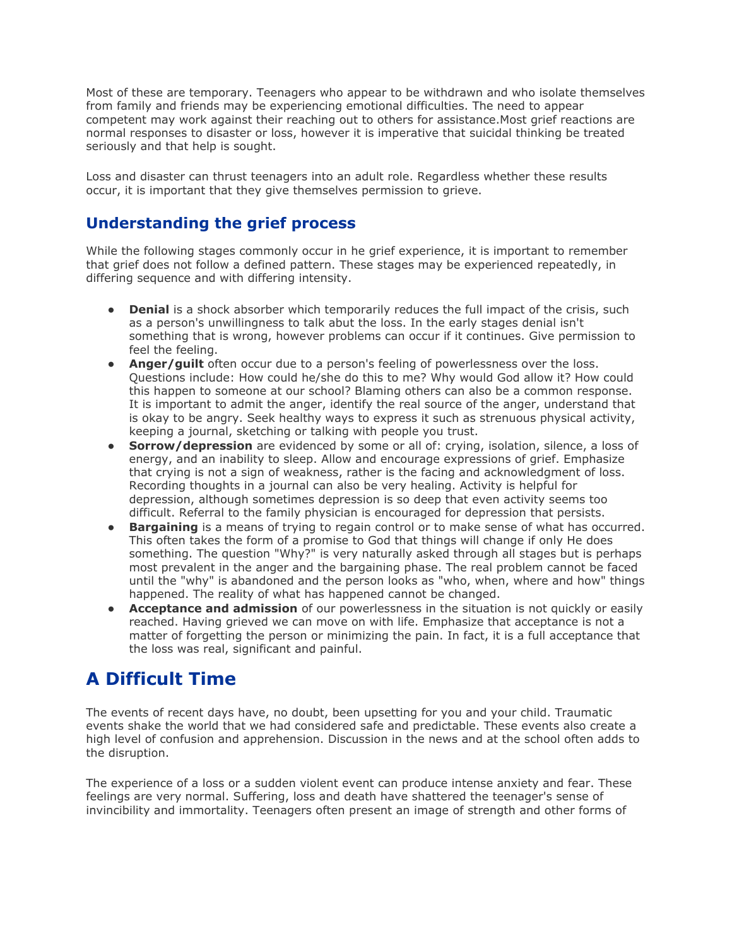Most of these are temporary. Teenagers who appear to be withdrawn and who isolate themselves from family and friends may be experiencing emotional difficulties. The need to appear competent may work against their reaching out to others for assistance.Most grief reactions are normal responses to disaster or loss, however it is imperative that suicidal thinking be treated seriously and that help is sought.

Loss and disaster can thrust teenagers into an adult role. Regardless whether these results occur, it is important that they give themselves permission to grieve.

### **Understanding the grief process**

While the following stages commonly occur in he grief experience, it is important to remember that grief does not follow a defined pattern. These stages may be experienced repeatedly, in differing sequence and with differing intensity.

- **Denial** is a shock absorber which temporarily reduces the full impact of the crisis, such as a person's unwillingness to talk abut the loss. In the early stages denial isn't something that is wrong, however problems can occur if it continues. Give permission to feel the feeling.
- **Anger/guilt** often occur due to a person's feeling of powerlessness over the loss. Questions include: How could he/she do this to me? Why would God allow it? How could this happen to someone at our school? Blaming others can also be a common response. It is important to admit the anger, identify the real source of the anger, understand that is okay to be angry. Seek healthy ways to express it such as strenuous physical activity, keeping a journal, sketching or talking with people you trust.
- **Sorrow/depression** are evidenced by some or all of: crying, isolation, silence, a loss of energy, and an inability to sleep. Allow and encourage expressions of grief. Emphasize that crying is not a sign of weakness, rather is the facing and acknowledgment of loss. Recording thoughts in a journal can also be very healing. Activity is helpful for depression, although sometimes depression is so deep that even activity seems too difficult. Referral to the family physician is encouraged for depression that persists.
- **Bargaining** is a means of trying to regain control or to make sense of what has occurred. This often takes the form of a promise to God that things will change if only He does something. The question "Why?" is very naturally asked through all stages but is perhaps most prevalent in the anger and the bargaining phase. The real problem cannot be faced until the "why" is abandoned and the person looks as "who, when, where and how" things happened. The reality of what has happened cannot be changed.
- **Acceptance and admission** of our powerlessness in the situation is not quickly or easily reached. Having grieved we can move on with life. Emphasize that acceptance is not a matter of forgetting the person or minimizing the pain. In fact, it is a full acceptance that the loss was real, significant and painful.

# **A Difficult Time**

The events of recent days have, no doubt, been upsetting for you and your child. Traumatic events shake the world that we had considered safe and predictable. These events also create a high level of confusion and apprehension. Discussion in the news and at the school often adds to the disruption.

The experience of a loss or a sudden violent event can produce intense anxiety and fear. These feelings are very normal. Suffering, loss and death have shattered the teenager's sense of invincibility and immortality. Teenagers often present an image of strength and other forms of